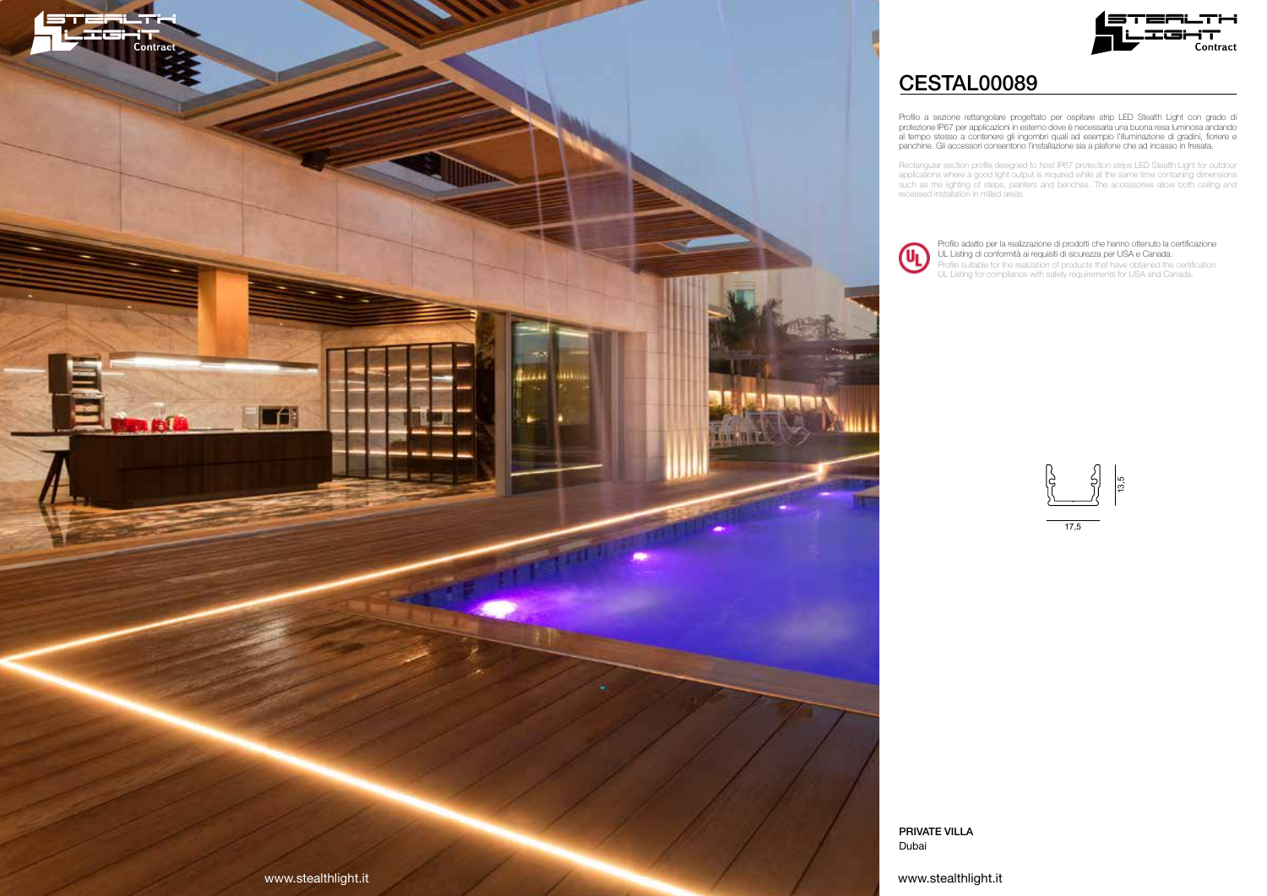Profilo a sezione rettangolare progettato per ospitare strip LED Stealth Light con grado di protezione IP67 per applicazioni in esterno dove è necessaria una buona resa luminosa andando al tempo stesso a contenere gli ingombri quali ad esempio l'illuminazione di gradini, fioriere e panchine. Gli accessori consentono l'installazione sia a plafone che ad incasso in fresata.

Rectangular section profile designed to host IP67 protection strips LED Stealth Light for outdoor applications where a good light output is required while at the same time containing dimensions such as the lighting of steps, planters and benches. The accessories allow both ceiling and recessed installation in milled areas.

# CESTAL00089



Profilo adatto per la realizzazione di prodotti che hanno ottenuto la certificazione UL Listing di conformità ai requisiti di sicurezza per USA e Canada. Profile suitable for the realization of products that have obtained the certification UL Listing for compliance with safety requirements for USA and Canada.



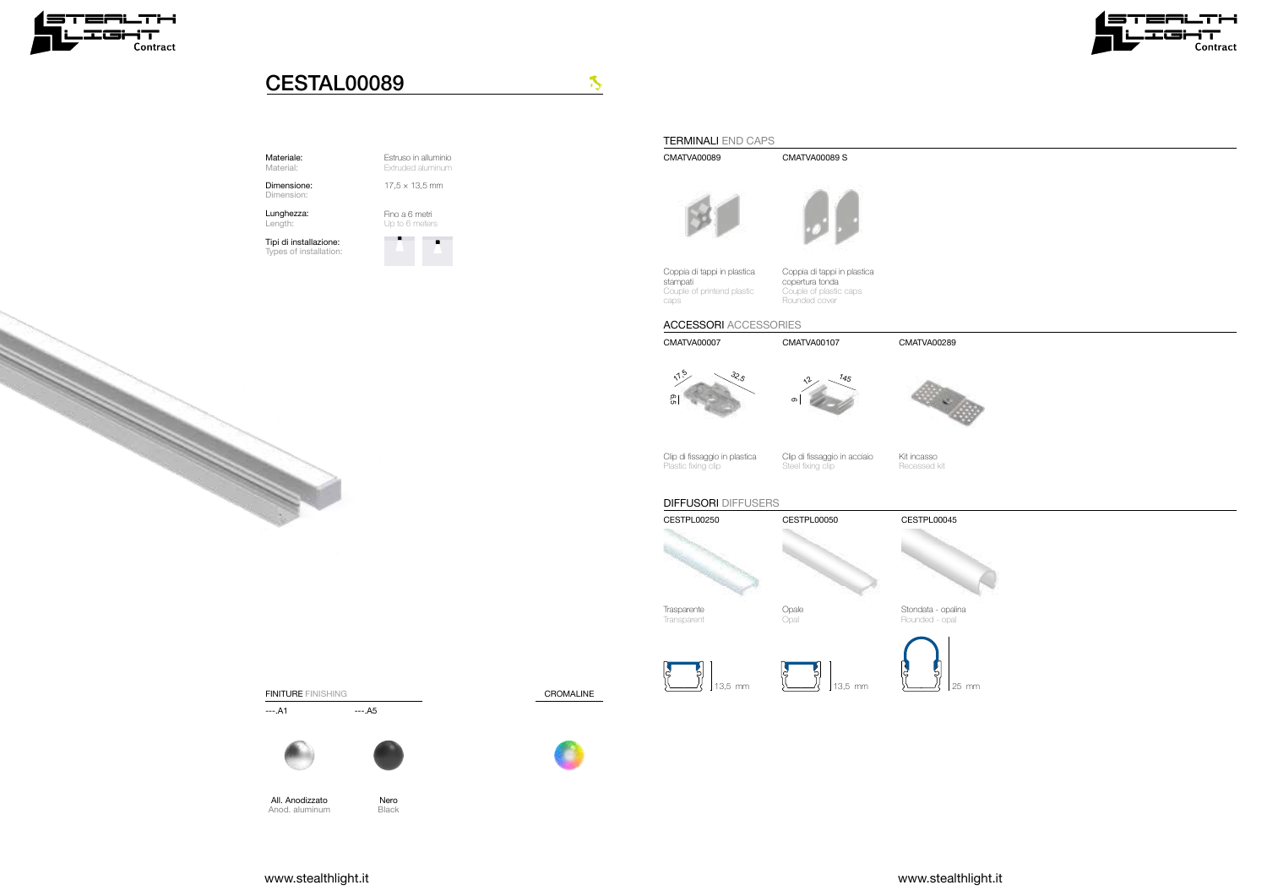Estruso in alluminio Extruded aluminum

Up to 6 meters  $\bullet$ 





## FINITURE FINISHING

#### Materiale: Material:

Dimensione: Dimension:

Nero **Black** 

Lunghezza: Length:



Tipi di installazione: Types of installation:

All. Anodizzato Anod. aluminum CROMALINE



---.A1 ---.A5







# CESTAL00089

Kit incasso Recessed kit

#### TERMINALI END CAPS

Clip di fissaggio in plastica Plastic fixing clip

### ACCESSORI ACCESSORIES

Clip di fissaggio in acciaio Steel fixing clip



Stondata - opalina Rounded - opal



#### DIFFUSORI DIFFUSERS

Coppia di tappi in plastica copertura tonda Couple of plastic caps Rounded cover

CMATVA00289 CMATVA00107

CMATVA00089 S





Coppia di tappi in plastica stampati Couple of printend plastic caps

CMATVA00089



CMATVA00007